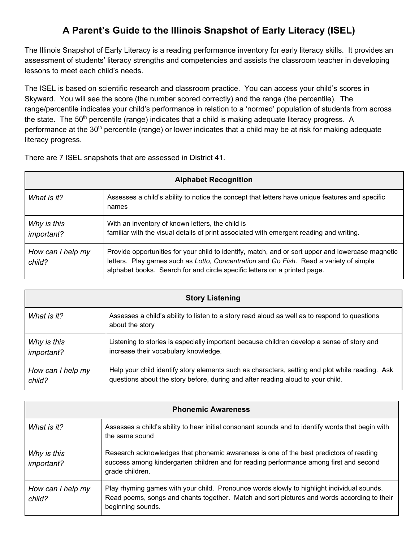## **A Parent's Guide to the Illinois Snapshot of Early Literacy (ISEL)**

The Illinois Snapshot of Early Literacy is a reading performance inventory for early literacy skills. It provides an assessment of students' literacy strengths and competencies and assists the classroom teacher in developing lessons to meet each child's needs.

The ISEL is based on scientific research and classroom practice. You can access your child's scores in Skyward. You will see the score (the number scored correctly) and the range (the percentile). The range/percentile indicates your child's performance in relation to a 'normed' population of students from across the state. The 50<sup>th</sup> percentile (range) indicates that a child is making adequate literacy progress. A performance at the 30<sup>th</sup> percentile (range) or lower indicates that a child may be at risk for making adequate literacy progress.

There are 7 ISEL snapshots that are assessed in District 41.

| <b>Alphabet Recognition</b>      |                                                                                                                                                                                                                                                                          |  |
|----------------------------------|--------------------------------------------------------------------------------------------------------------------------------------------------------------------------------------------------------------------------------------------------------------------------|--|
| What is it?                      | Assesses a child's ability to notice the concept that letters have unique features and specific<br>names                                                                                                                                                                 |  |
| Why is this<br><i>important?</i> | With an inventory of known letters, the child is<br>familiar with the visual details of print associated with emergent reading and writing.                                                                                                                              |  |
| How can I help my<br>child?      | Provide opportunities for your child to identify, match, and or sort upper and lowercase magnetic<br>letters. Play games such as Lotto, Concentration and Go Fish. Read a variety of simple<br>alphabet books. Search for and circle specific letters on a printed page. |  |

| <b>Story Listening</b> |                                                                                                                  |  |
|------------------------|------------------------------------------------------------------------------------------------------------------|--|
| What is it?            | Assesses a child's ability to listen to a story read aloud as well as to respond to questions<br>about the story |  |
| Why is this            | Listening to stories is especially important because children develop a sense of story and                       |  |
| important?             | increase their vocabulary knowledge.                                                                             |  |
| How can I help my      | Help your child identify story elements such as characters, setting and plot while reading. Ask                  |  |
| child?                 | questions about the story before, during and after reading aloud to your child.                                  |  |

| <b>Phonemic Awareness</b>   |                                                                                                                                                                                                                |  |
|-----------------------------|----------------------------------------------------------------------------------------------------------------------------------------------------------------------------------------------------------------|--|
| What is it?                 | Assesses a child's ability to hear initial consonant sounds and to identify words that begin with<br>the same sound                                                                                            |  |
| Why is this<br>important?   | Research acknowledges that phonemic awareness is one of the best predictors of reading<br>success among kindergarten children and for reading performance among first and second<br>grade children.            |  |
| How can I help my<br>child? | Play rhyming games with your child. Pronounce words slowly to highlight individual sounds.<br>Read poems, songs and chants together. Match and sort pictures and words according to their<br>beginning sounds. |  |